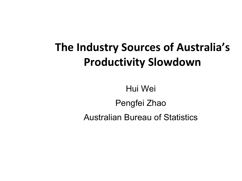# **The Industry Sources of Australia's Productivity Slowdown**

Hui Wei Pengfei Zhao Australian Bureau of Statistics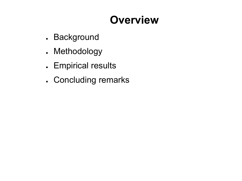# **Overview**

- . Background
- . Methodology
- . Empirical results
- . Concluding remarks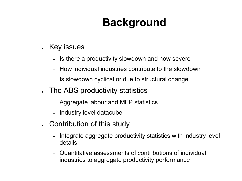# **Background**

- Key issues
	- Is there a productivity slowdown and how severe
	- How individual industries contribute to the slowdown
	- Is slowdown cyclical or due to structural change
- The ABS productivity statistics
	- Aggregate labour and MFP statistics
	- Industry level datacube
- Contribution of this study
	- Integrate aggregate productivity statistics with industry level details
	- Quantitative assessments of contributions of individual industries to aggregate productivity performance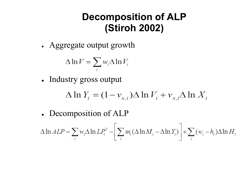## **Decomposition of ALP (Stiroh 2002)**

• Aggregate output growth

$$
\Delta \ln V = \sum_{i} w_{i} \Delta \ln V_{i}
$$

• Industry gross output

$$
\Delta \ln Y_i = (1 - v_{x,i}) \Delta \ln V_i + v_{x,i} \Delta \ln X_i
$$

• Decomposition of ALP

$$
\Delta \ln ALP = \sum_{i} w_i \Delta \ln LP_i^Y - \left[ \sum_{i} m_i (\Delta \ln M_i - \Delta \ln Y_i) \right] + \sum_{i} (w_i - h_i) \Delta \ln H_i
$$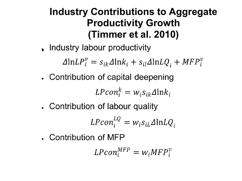## **Industry Contributions to Aggregate Productivity Growth (Timmer et al. 2010)**

. Industry labour productivity

 $\Delta$ ln $LP_i^v = s_{ik}\Delta$ ln $k_i + s_{il}\Delta$ ln $LQ_i + MFP_i^v$ 

• Contribution of capital deepening

$$
LPcon_i^k = w_i s_{ik} \Delta \ln k_i
$$

• Contribution of labour quality

$$
LPcon_i^{LQ} = w_i s_{iL} \Delta \ln LQ_i
$$

• Contribution of MFP

$$
LPcon_i^{MFP} = w_i MFP_i^v
$$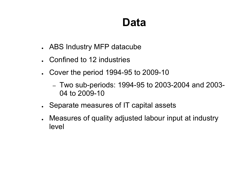# **Data**

- ABS Industry MFP datacube
- Confined to 12 industries
- Cover the period 1994-95 to 2009-10
	- Two sub-periods: 1994-95 to 2003-2004 and 2003- 04 to 2009-10
- Separate measures of IT capital assets
- Measures of quality adjusted labour input at industry level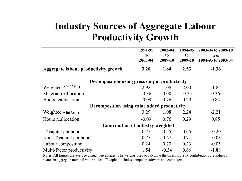### **Industry Sources of Aggregate Labour Productivity Growth**

|                                               | 1994-95<br>to<br>2003-04 | 2003-04<br>to<br>2009-10 | 1994-95<br>to<br>2009-10 | 2003-04 to 2009-10<br><b>less</b><br>1994-95 to 2003-04 |  |  |  |
|-----------------------------------------------|--------------------------|--------------------------|--------------------------|---------------------------------------------------------|--|--|--|
| <b>Aggregate labour productivity growth</b>   | 3.20                     | 1.84                     | 2.53                     | $-1.36$                                                 |  |  |  |
| Decomposition using gross output productivity |                          |                          |                          |                                                         |  |  |  |
| Weighted $\Delta \ln(LP_i^Y)$                 | 2.92                     | 1.08                     | 2.00                     | $-1.85$                                                 |  |  |  |
| Material reallocation                         | $-0.36$                  | 0.00                     | $-0.25$                  | 0.36                                                    |  |  |  |
| Hours reallocation                            | $-0.09$                  | 0.76                     | 0.29                     | 0.85                                                    |  |  |  |
| Decomposition using value added productivity  |                          |                          |                          |                                                         |  |  |  |
| Weighted $\Delta \ln(LP_i^V)$                 | 3.29                     | 1.08                     | 2.24                     | $-2.21$                                                 |  |  |  |
| Hours reallocation                            | $-0.09$                  | 0.76                     | 0.29                     | 0.85                                                    |  |  |  |
| <b>Contribution of industry weighted</b>      |                          |                          |                          |                                                         |  |  |  |
| IT capital per hour                           | 0.75                     | 0.55                     | 0.65                     | $-0.20$                                                 |  |  |  |
| Non-IT capital per hour                       | 0.75                     | 0.67                     | 0.71                     | $-0.08$                                                 |  |  |  |
| Labour composition                            | 0.24                     | 0.20                     | 0.23                     | $-0.05$                                                 |  |  |  |
| Multi-factor productivity                     | 1.54                     | $-0.34$                  | 0.66                     | $-1.88$                                                 |  |  |  |

Notes: All figures are average annual percentages. The weights used to calculate the direct industry contributions are industry shares in aggregate nominal value added. IT capital includes computer software and computers.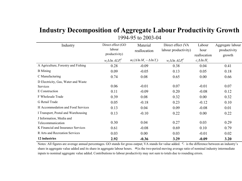#### **Industry Decomposition of Aggregate Labour Productivity Growth** 1994-95 to 2003-04

| Industry                            | Direct effect (GO        | Material                               | Direct effect (VA        | Labour               | Aggregate labour |
|-------------------------------------|--------------------------|----------------------------------------|--------------------------|----------------------|------------------|
|                                     | labour                   | reallocation                           | labour productivity)     | hour                 | productivity     |
|                                     | productivity)            |                                        |                          | reallocation         | growth           |
|                                     | $w_i \Delta \ln ALP_i^Y$ | $m_i(\Delta \ln M_i - \Delta \ln Y_i)$ | $w_i \Delta \ln ALP_i^V$ | $c_i \Delta \ln H_i$ |                  |
| A Agriculture, Forestry and Fishing | 0.28                     | $-0.09$                                | 0.38                     | 0.04                 | 0.41             |
| <b>B</b> Mining                     | 0.09                     | $-0.05$                                | 0.13                     | 0.05                 | 0.18             |
| C Manufacturing                     | 0.74                     | 0.08                                   | 0.65                     | 0.00                 | 0.66             |
| D Electricity, Gas, Water and Waste |                          |                                        |                          |                      |                  |
| Services                            | 0.06                     | $-0.01$                                | 0.07                     | $-0.01$              | 0.07             |
| E Construction                      | 0.11                     | $-0.09$                                | 0.20                     | $-0.08$              | 0.12             |
| F Wholesale Trade                   | 0.39                     | 0.08                                   | 0.32                     | 0.00                 | 0.32             |
| G Retail Trade                      | 0.05                     | $-0.18$                                | 0.23                     | $-0.12$              | 0.10             |
| H Accommodation and Food Services   | 0.13                     | 0.04                                   | 0.09                     | $-0.08$              | 0.01             |
| I Transport, Postal and Warehousing | 0.13                     | $-0.10$                                | 0.22                     | 0.00                 | 0.22             |
| J Information, Media and            |                          |                                        |                          |                      |                  |
| Telecommunication                   | 0.30                     | 0.04                                   | 0.27                     | 0.03                 | 0.29             |
| K Financial and Insurance Services  | 0.61                     | $-0.08$                                | 0.69                     | 0.10                 | 0.79             |
| R Arts and Recreation Services      | 0.03                     | 0.00                                   | 0.03                     | $-0.01$              | 0.02             |
| 12 industries                       | 2.92                     | $-0.36$                                | 3.29                     | $-0.09$              | 3.20             |

Notes: All figures are average annual percentages. GO stands for gross output; VA stands for value added.  $c_i$  is the difference between an industry's share in aggregate value added and its share in aggregate labour hours.  $m_i$  is the two-period moving average ratio of nominal industry intermediate inputs to nominal aggregate value added. Contributions to labour productivity may not sum to totals due to rounding errors.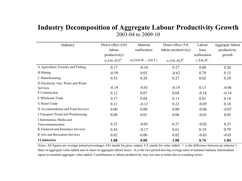#### **Industry Decomposition of Aggregate Labour Productivity Growth** 2003-04 to 2009-10

| Industry                              | Direct effect (GO        | Material                               | Direct effect (VA        | Labour               | Aggregate labour |
|---------------------------------------|--------------------------|----------------------------------------|--------------------------|----------------------|------------------|
|                                       | labour                   | reallocation                           | labour productivity)     | hour                 | productivity     |
|                                       | productivity)            |                                        |                          | reallocation         | growth           |
|                                       | $w_i \Delta \ln ALP_i^Y$ | $m_i(\Delta \ln M_i - \Delta \ln Y_i)$ | $w_i \Delta \ln ALP_i^V$ | $c_i \Delta \ln H_i$ |                  |
| A Agriculture, Forestry and Fishing   | 0.17                     | $-0.10$                                | 0.27                     | 0.00                 | 0.26             |
| <b>B</b> Mining                       | $-0.59$                  | 0.03                                   | $-0.62$                  | 0.78                 | 0.15             |
| C Manufacturing                       | 0.55                     | 0.28                                   | 0.27                     | 0.02                 | 0.29             |
| D Electricity, Gas, Water and Waste   |                          |                                        |                          |                      |                  |
| Services                              | $-0.19$                  | $-0.01$                                | $-0.19$                  | 0.13                 | $-0.06$          |
| E Construction                        | 0.12                     | 0.07                                   | 0.04                     | $-0.18$              | $-0.14$          |
| F Wholesale Trade                     | 0.17                     | 0.04                                   | 0.13                     | 0.01                 | 0.14             |
| G Retail Trade                        | 0.11                     | $-0.12$                                | 0.23                     | $-0.05$              | 0.18             |
| H Accommodation and Food Services     | 0.00                     | 0.00                                   | 0.00                     | $-0.06$              | $-0.07$          |
| I Transport, Postal and Warehousing   | 0.08                     | 0.01                                   | 0.06                     | $-0.01$              | 0.05             |
| J Information, Media and              |                          |                                        |                          |                      |                  |
| Telecommunication                     | 0.23                     | $-0.03$                                | 0.27                     | $-0.02$              | 0.25             |
| K Financial and Insurance Services    | 0.43                     | $-0.17$                                | 0.61                     | 0.19                 | 0.79             |
| <b>R</b> Arts and Recreation Services | 0.02                     | 0.00                                   | 0.02                     | $-0.03$              | $-0.01$          |
| 12 industries                         | 1.08                     | 0.00                                   | 1.08                     | 0.76                 | 1.84             |

Notes: All figures are average annual percentages. GO stands for gross output; VA stands for value added.  $c_i$  is the difference between an industry's share in aggregate value added and its share in aggregate labour hours.  $m<sub>i</sub>$  is the two-period moving average ratio of nominal industry intermediate inputs to nominal aggregate value added. Contributions to labour productivity may not sum to totals due to rounding errors.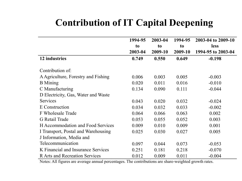## **Contribution of IT Capital Deepening**

|                                       | 1994-95        | 2003-04        | 1994-95        | 2003-04 to 2009-10 |
|---------------------------------------|----------------|----------------|----------------|--------------------|
|                                       | t <sub>o</sub> | t <sub>o</sub> | t <sub>o</sub> | less               |
|                                       | 2003-04        | 2009-10        | 2009-10        | 1994-95 to 2003-04 |
| 12 industries                         | 0.749          | 0.550          | 0.649          | $-0.198$           |
|                                       |                |                |                |                    |
| Contribution of:                      |                |                |                |                    |
| A Agriculture, Forestry and Fishing   | 0.006          | 0.003          | 0.005          | $-0.003$           |
| <b>B</b> Mining                       | 0.020          | 0.011          | 0.016          | $-0.010$           |
| C Manufacturing                       | 0.134          | 0.090          | 0.111          | $-0.044$           |
| D Electricity, Gas, Water and Waste   |                |                |                |                    |
| Services                              | 0.043          | 0.020          | 0.032          | $-0.024$           |
| E Construction                        | 0.034          | 0.032          | 0.033          | $-0.002$           |
| F Wholesale Trade                     | 0.064          | 0.066          | 0.063          | 0.002              |
| <b>G</b> Retail Trade                 | 0.053          | 0.055          | 0.052          | 0.003              |
| H Accommodation and Food Services     | 0.009          | 0.010          | 0.009          | 0.001              |
| I Transport, Postal and Warehousing   | 0.025          | 0.030          | 0.027          | 0.005              |
| J Information, Media and              |                |                |                |                    |
| Telecommunication                     | 0.097          | 0.044          | 0.073          | $-0.053$           |
| K Financial and Insurance Services    | 0.251          | 0.181          | 0.218          | $-0.070$           |
| <b>R</b> Arts and Recreation Services | 0.012          | 0.009          | 0.011          | $-0.004$           |

Notes: All figures are average annual percentages. The contributions are share-weighted growth rates.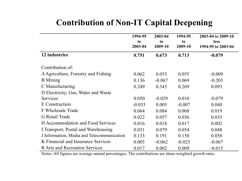### **Contribution of Non-IT Capital Deepening**

|                                            | 1994-95<br>to<br>2003-04 | 2003-04<br>to<br>2009-10 | 1994-95<br>to<br>2009-10 | 2003-04 to 2009-10<br><b>less</b><br>1994-95 to 2003-04 |
|--------------------------------------------|--------------------------|--------------------------|--------------------------|---------------------------------------------------------|
| 12 industries                              | 0.751                    | 0.673                    | 0.713                    | $-0.079$                                                |
| Contribution of:                           |                          |                          |                          |                                                         |
| A Agriculture, Forestry and Fishing        | 0.062                    | 0.053                    | 0.055                    | $-0.009$                                                |
| <b>B</b> Mining                            | 0.136                    | $-0.067$                 | 0.069                    | $-0.203$                                                |
| C Manufacturing                            | 0.249                    | 0.343                    | 0.269                    | 0.093                                                   |
| D Electricity, Gas, Water and Waste        |                          |                          |                          |                                                         |
| <b>Services</b>                            | 0.050                    | $-0.029$                 | 0.016                    | $-0.079$                                                |
| E Construction                             | $-0.035$                 | 0.005                    | $-0.007$                 | 0.040                                                   |
| F Wholesale Trade                          | 0.064                    | 0.084                    | 0.068                    | 0.019                                                   |
| G Retail Trade                             | 0.022                    | 0.057                    | 0.036                    | 0.035                                                   |
| H Accommodation and Food Services          | 0.016                    | 0.018                    | 0.017                    | 0.002                                                   |
| I Transport, Postal and Warehousing        | 0.031                    | 0.079                    | 0.054                    | 0.048                                                   |
| J Information, Media and Telecommunication | 0.133                    | 0.191                    | 0.150                    | 0.058                                                   |
| K Financial and Insurance Services         | 0.005                    | $-0.062$                 | $-0.025$                 | $-0.067$                                                |
| <b>R</b> Arts and Recreation Services      | 0.017                    | 0.002                    | 0.009                    | $-0.015$                                                |

Notes: All figures are average annual percentages. The contributions are share-weighted growth rates.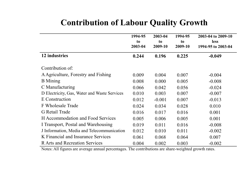### **Contribution of Labour Quality Growth**

|                                              | 1994-95<br>to<br>2003-04 | 2003-04<br>to<br>2009-10 | 1994-95<br>to<br>2009-10 | 2003-04 to 2009-10<br><b>less</b><br>1994-95 to 2003-04 |
|----------------------------------------------|--------------------------|--------------------------|--------------------------|---------------------------------------------------------|
| 12 industries                                | 0.244                    | 0.196                    | 0.225                    | $-0.049$                                                |
| Contribution of:                             |                          |                          |                          |                                                         |
| A Agriculture, Forestry and Fishing          | 0.009                    | 0.004                    | 0.007                    | $-0.004$                                                |
| <b>B</b> Mining                              | 0.008                    | 0.000                    | 0.005                    | $-0.008$                                                |
| C Manufacturing                              | 0.066                    | 0.042                    | 0.056                    | $-0.024$                                                |
| D Electricity, Gas, Water and Waste Services | 0.010                    | 0.003                    | 0.007                    | $-0.007$                                                |
| E Construction                               | 0.012                    | $-0.001$                 | 0.007                    | $-0.013$                                                |
| F Wholesale Trade                            | 0.024                    | 0.034                    | 0.028                    | 0.010                                                   |
| G Retail Trade                               | 0.016                    | 0.017                    | 0.016                    | 0.001                                                   |
| H Accommodation and Food Services            | 0.005                    | 0.006                    | 0.005                    | 0.001                                                   |
| I Transport, Postal and Warehousing          | 0.019                    | 0.011                    | 0.016                    | $-0.008$                                                |
| J Information, Media and Telecommunication   | 0.012                    | 0.010                    | 0.011                    | $-0.002$                                                |
| K Financial and Insurance Services           | 0.061                    | 0.068                    | 0.064                    | 0.007                                                   |
| <b>R</b> Arts and Recreation Services        | 0.004                    | 0.002                    | 0.003                    | $-0.002$                                                |

Notes: All figures are average annual percentages. The contributions are share-weighted growth rates.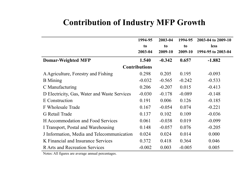### **Contribution of Industry MFP Growth**

|                                              | 1994-95              | 2003-04  | 1994-95  | 2003-04 to 2009-10 |
|----------------------------------------------|----------------------|----------|----------|--------------------|
|                                              | to                   | to       | to       | <b>less</b>        |
|                                              | 2003-04              | 2009-10  | 2009-10  | 1994-95 to 2003-04 |
| <b>Domar-Weighted MFP</b>                    | 1.540                | $-0.342$ | 0.657    | $-1.882$           |
|                                              | <b>Contributions</b> |          |          |                    |
| A Agriculture, Forestry and Fishing          | 0.298                | 0.205    | 0.195    | $-0.093$           |
| <b>B</b> Mining                              | $-0.032$             | $-0.565$ | $-0.242$ | $-0.533$           |
| C Manufacturing                              | 0.206                | $-0.207$ | 0.015    | $-0.413$           |
| D Electricity, Gas, Water and Waste Services | $-0.030$             | $-0.178$ | $-0.089$ | $-0.148$           |
| E Construction                               | 0.191                | 0.006    | 0.126    | $-0.185$           |
| F Wholesale Trade                            | 0.167                | $-0.054$ | 0.074    | $-0.221$           |
| G Retail Trade                               | 0.137                | 0.102    | 0.109    | $-0.036$           |
| <b>H</b> Accommodation and Food Services     | 0.061                | $-0.038$ | 0.019    | $-0.099$           |
| I Transport, Postal and Warehousing          | 0.148                | $-0.057$ | 0.076    | $-0.205$           |
| J Information, Media and Telecommunication   | 0.024                | 0.024    | 0.014    | 0.000              |
| K Financial and Insurance Services           | 0.372                | 0.418    | 0.364    | 0.046              |
| <b>R</b> Arts and Recreation Services        | $-0.002$             | 0.003    | $-0.005$ | 0.005              |

Notes: All figures are average annual percentages.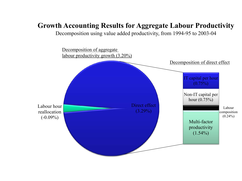### **Growth Accounting Results for Aggregate Labour Productivity**

Decomposition using value added productivity, from 1994-95 to 2003-04

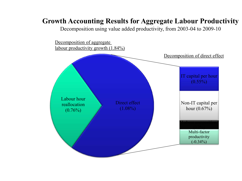### **Growth Accounting Results for Aggregate Labour Productivity**

Decomposition using value added productivity, from 2003-04 to 2009-10